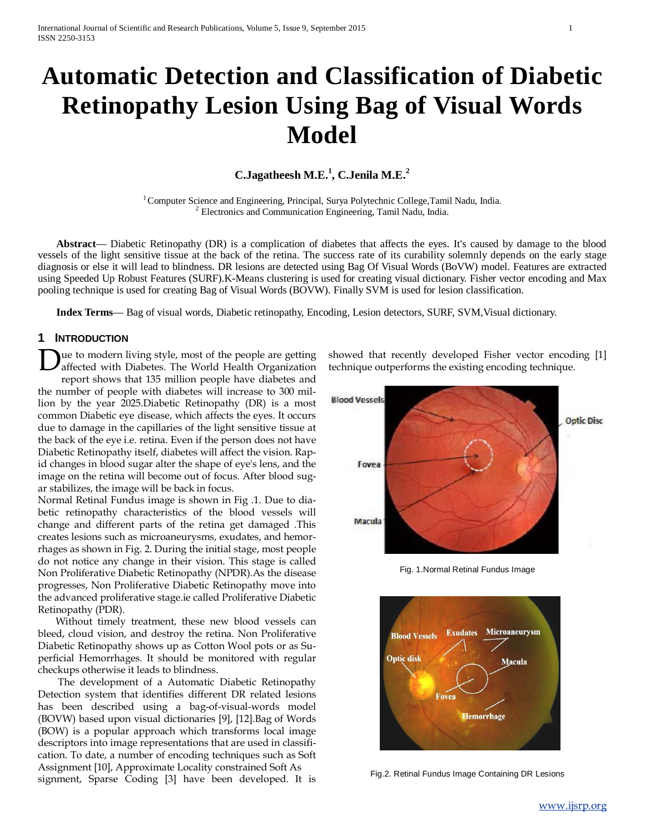# **Automatic Detection and Classification of Diabetic Retinopathy Lesion Using Bag of Visual Words Model**

# **C.Jagatheesh M.E.<sup>1</sup> , C.Jenila M.E.<sup>2</sup>**

<sup>1</sup> Computer Science and Engineering, Principal, Surya Polytechnic College,Tamil Nadu, India. <sup>2</sup> Electronics and Communication Engineering, Tamil Nadu, India.

 **Abstract**— Diabetic Retinopathy (DR) is a complication of diabetes that affects the eyes. It's caused by damage to the blood vessels of the light sensitive tissue at the back of the retina. The success rate of its curability solemnly depends on the early stage diagnosis or else it will lead to blindness. DR lesions are detected using Bag Of Visual Words (BoVW) model. Features are extracted using Speeded Up Robust Features (SURF).K-Means clustering is used for creating visual dictionary. Fisher vector encoding and Max pooling technique is used for creating Bag of Visual Words (BOVW). Finally SVM is used for lesion classification.

 **Index Terms**— Bag of visual words, Diabetic retinopathy, Encoding, Lesion detectors, SURF, SVM,Visual dictionary.

## **1 INTRODUCTION**

ue to modern living style, most of the people are getting affected with Diabetes. The World Health Organization report shows that 135 million people have diabetes and the number of people with diabetes will increase to 300 million by the year 2025.Diabetic Retinopathy (DR) is a most common Diabetic eye disease, which affects the eyes. It occurs due to damage in the capillaries of the light sensitive tissue at the back of the eye i.e. retina. Even if the person does not have Diabetic Retinopathy itself, diabetes will affect the vision. Rapid changes in blood sugar alter the shape of eye's lens, and the image on the retina will become out of focus. After blood sugar stabilizes, the image will be back in focus. D

Normal Retinal Fundus image is shown in Fig .1. Due to diabetic retinopathy characteristics of the blood vessels will change and different parts of the retina get damaged .This creates lesions such as microaneurysms, exudates, and hemorrhages as shown in Fig. 2. During the initial stage, most people do not notice any change in their vision. This stage is called Non Proliferative Diabetic Retinopathy (NPDR).As the disease progresses, Non Proliferative Diabetic Retinopathy move into the advanced proliferative stage.ie called Proliferative Diabetic Retinopathy (PDR).

 Without timely treatment, these new blood vessels can bleed, cloud vision, and destroy the retina. Non Proliferative Diabetic Retinopathy shows up as Cotton Wool pots or as Superficial Hemorrhages. It should be monitored with regular checkups otherwise it leads to blindness.

 The development of a Automatic Diabetic Retinopathy Detection system that identifies different DR related lesions has been described using a bag-of-visual-words model (BOVW) based upon visual dictionaries [9], [12].Bag of Words (BOW) is a popular approach which transforms local image descriptors into image representations that are used in classification. To date, a number of encoding techniques such as Soft Assignment [10], Approximate Locality constrained Soft As signment, Sparse Coding [3] have been developed. It is

showed that recently developed Fisher vector encoding [1] technique outperforms the existing encoding technique.



Fig. 1.Normal Retinal Fundus Image



Fig.2. Retinal Fundus Image Containing DR Lesions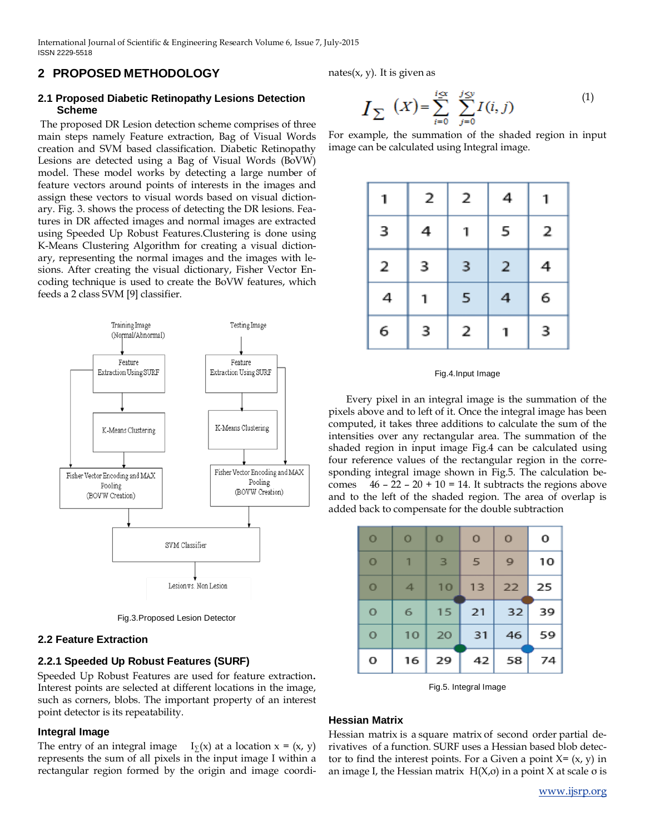# **2 PROPOSED METHODOLOGY**

## **2.1 Proposed Diabetic Retinopathy Lesions Detection Scheme**

The proposed DR Lesion detection scheme comprises of three main steps namely Feature extraction, Bag of Visual Words creation and SVM based classification. Diabetic Retinopathy Lesions are detected using a Bag of Visual Words (BoVW) model. These model works by detecting a large number of feature vectors around points of interests in the images and assign these vectors to visual words based on visual dictionary. Fig. 3. shows the process of detecting the DR lesions. Features in DR affected images and normal images are extracted using Speeded Up Robust Features.Clustering is done using K-Means Clustering Algorithm for creating a visual dictionary, representing the normal images and the images with lesions. After creating the visual dictionary, Fisher Vector Encoding technique is used to create the BoVW features, which feeds a 2 class SVM [9] classifier.



Fig.3.Proposed Lesion Detector

# **2.2 Feature Extraction**

# **2.2.1 Speeded Up Robust Features (SURF)**

Speeded Up Robust Features are used for feature extraction. Interest points are selected at different locations in the image, such as corners, blobs. The important property of an interest point detector is its repeatability.

# **Integral Image**

The entry of an integral image  $I_{\Sigma}(x)$  at a location  $x = (x, y)$ represents the sum of all pixels in the input image I within a rectangular region formed by the origin and image coordinates $(x, y)$ . It is given as

$$
I_{\sum} (X) = \sum_{i=0}^{i \le x} \sum_{j=0}^{j \le y} I(i, j)
$$
 (1)

For example, the summation of the shaded region in input image can be calculated using Integral image.

| 1 | 2 | 2 | 4 | 1 |
|---|---|---|---|---|
| 3 | 4 | Ί | 5 | 2 |
| 2 | 3 | 3 | 2 | 4 |
| 4 | 1 | 5 | 4 | 6 |
| 6 | 3 | 2 | Ί | 3 |

#### Fig.4.Input Image

 Every pixel in an integral image is the summation of the pixels above and to left of it. Once the integral image has been computed, it takes three additions to calculate the sum of the intensities over any rectangular area. The summation of the shaded region in input image Fig.4 can be calculated using four reference values of the rectangular region in the corresponding integral image shown in Fig.5. The calculation becomes  $46 - 22 - 20 + 10 = 14$ . It subtracts the regions above and to the left of the shaded region. The area of overlap is added back to compensate for the double subtraction

| $\circ$ | $\circ$        | $\bf{0}$ | $\circ$ | $\circ$ | 0  |
|---------|----------------|----------|---------|---------|----|
| $\circ$ | 1              | 3        | 5       | 9       | 10 |
| $\circ$ | $\overline{4}$ | 10       | 13      | 22      | 25 |
| $\circ$ | 6              | 15       | 21      | 32      | 39 |
| O       | 10             | 20       | 31      | 46      | 59 |
| o       | 16             | 29       | 42      | 58      | 74 |

Fig.5. Integral Image

## **Hessian Matrix**

Hessian matrix is a square matrix of second order partial derivatives of a function. SURF uses a Hessian based blob detector to find the interest points. For a Given a point  $X = (x, y)$  in an image I, the Hessian matrix  $H(X, \sigma)$  in a point X at scale  $\sigma$  is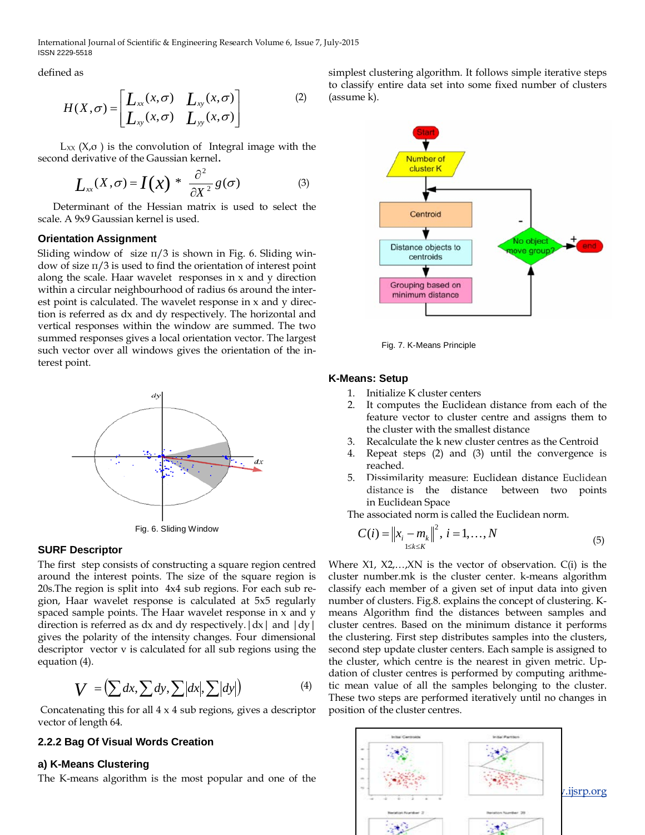International Journal of Scientific & Engineering Research Volume 6, Issue 7, July-2015 ISSN 2229-5518

defined as

$$
H(X,\sigma) = \begin{bmatrix} L_{xx}(x,\sigma) & L_{xy}(x,\sigma) \\ L_{xy}(x,\sigma) & L_{yy}(x,\sigma) \end{bmatrix}
$$
 (2)

 $L_{XX}$  ( $X,\sigma$ ) is the convolution of Integral image with the second derivative of the Gaussian kernel.

$$
L_{xx}(X,\sigma) = I(x) * \frac{\partial^2}{\partial X^2} g(\sigma) \tag{3}
$$

 Determinant of the Hessian matrix is used to select the scale. A 9x9 Gaussian kernel is used.

#### **Orientation Assignment**

Sliding window of size  $\pi/3$  is shown in Fig. 6. Sliding window of size  $\pi/3$  is used to find the orientation of interest point along the scale. Haar wavelet responses in x and y direction within a circular neighbourhood of radius 6s around the interest point is calculated. The wavelet response in x and y direction is referred as dx and dy respectively. The horizontal and vertical responses within the window are summed. The two summed responses gives a local orientation vector. The largest such vector over all windows gives the orientation of the interest point.



#### **SURF Descriptor**

The first step consists of constructing a square region centred around the interest points. The size of the square region is 20s.The region is split into 4x4 sub regions. For each sub region, Haar wavelet response is calculated at 5x5 regularly spaced sample points. The Haar wavelet response in x and y direction is referred as  $dx$  and  $dy$  respectively.  $|dx|$  and  $|dy|$ gives the polarity of the intensity changes. Four dimensional descriptor vector v is calculated for all sub regions using the equation (4).

$$
V = \left(\sum dx, \sum dy, \sum |dx|, \sum |dy|\right) \tag{4}
$$

Concatenating this for all 4 x 4 sub regions, gives a descriptor vector of length 64.

### **2.2.2 Bag Of Visual Words Creation**

#### **a) K-Means Clustering**

The K-means algorithm is the most popular and one of the

simplest clustering algorithm. It follows simple iterative steps to classify entire data set into some fixed number of clusters (assume k).



Fig. 7. K-Means Principle

#### **K-Means: Setup**

- 1. Initialize K cluster centers
- 2. It computes the Euclidean distance from each of the feature vector to cluster centre and assigns them to the cluster with the smallest distance
- 3. Recalculate the k new cluster centres as the Centroid
- 4. Repeat steps (2) and (3) until the convergence is reached.
- 5. Dissimilarity measure: Euclidean distance Euclidean distance is the distance between two points in Euclidean Space

The associated norm is called the Euclidean norm.

$$
C(i) = \|x_i - m_k\|^2, \ i = 1, ..., N
$$
\n(5)

Where  $X1$ ,  $X2$ ,..., $XN$  is the vector of observation.  $C(i)$  is the cluster number.mk is the cluster center. k-means algorithm classify each member of a given set of input data into given number of clusters. Fig.8. explains the concept of clustering. Kmeans Algorithm find the distances between samples and cluster centres. Based on the minimum distance it performs the clustering. First step distributes samples into the clusters, second step update cluster centers. Each sample is assigned to the cluster, which centre is the nearest in given metric. Updation of cluster centres is performed by computing arithmetic mean value of all the samples belonging to the cluster. These two steps are performed iteratively until no changes in position of the cluster centres.

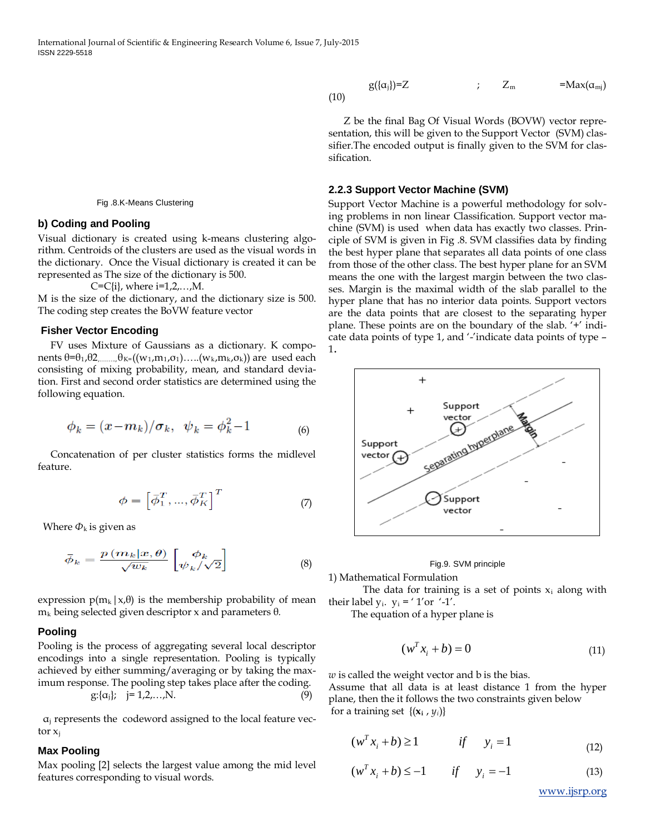Fig .8.K-Means Clustering

#### **b) Coding and Pooling**

Visual dictionary is created using k-means clustering algorithm. Centroids of the clusters are used as the visual words in the dictionary. Once the Visual dictionary is created it can be represented as The size of the dictionary is 500.

 $C = C[i]$ , where  $i = 1, 2, ..., M$ .

M is the size of the dictionary, and the dictionary size is 500. The coding step creates the BoVW feature vector

#### **Fisher Vector Encoding**

 FV uses Mixture of Gaussians as a dictionary. K components  $\theta = \theta_1, \theta_2, \dots, \theta_K = ((w_1, m_1, \sigma_1), \dots, (w_k, m_k, \sigma_k))$  are used each consisting of mixing probability, mean, and standard deviation. First and second order statistics are determined using the following equation.

$$
\phi_k = (x - m_k) / \sigma_k, \ \ \psi_k = \phi_k^2 - 1 \tag{6}
$$

Concatenation of per cluster statistics forms the midlevel feature.

$$
\phi = \left[ \bar{\phi}_1^T, ..., \bar{\phi}_K^T \right]^T \tag{7}
$$

Where  $\Phi_k$  is given as

$$
\bar{\phi}_k = \frac{p(m_k | x, \theta)}{\sqrt{w_k}} \begin{bmatrix} \phi_k \\ \psi_k / \sqrt{2} \end{bmatrix}
$$
 (8)

expression  $p(m_k|x,\theta)$  is the membership probability of mean mk being selected given descriptor x and parameters θ*.*

#### **Pooling**

Pooling is the process of aggregating several local descriptor encodings into a single representation. Pooling is typically achieved by either summing/averaging or by taking the maximum response. The pooling step takes place after the coding.  $g: \{\alpha_j\}; \quad j = 1, 2, \dots, N.$  (9)

$$
g:\{\alpha_j\}; \quad j=1,2,...,N.
$$
 (9)

 $\alpha_i$  represents the codeword assigned to the local feature vector  $x_i$ 

#### **Max Pooling**

Max pooling [2] selects the largest value among the mid level features corresponding to visual words.

$$
g(\{\alpha_j\})=Z \qquad \qquad ; \qquad Z_m \qquad \qquad =Max(\alpha_{mj})
$$

 Z be the final Bag Of Visual Words (BOVW) vector representation, this will be given to the Support Vector (SVM) classifier.The encoded output is finally given to the SVM for classification.

#### **2.2.3 Support Vector Machine (SVM)**

Support Vector Machine is a powerful methodology for solving problems in non linear Classification. Support vector machine (SVM) is used when data has exactly two classes. Principle of SVM is given in Fig .8. SVM classifies data by finding the best hyper plane that separates all data points of one class from those of the other class. The best hyper plane for an SVM means the one with the largest margin between the two classes. Margin is the maximal width of the slab parallel to the hyper plane that has no interior data points. Support vectors are the data points that are closest to the separating hyper plane. These points are on the boundary of the slab. '+' indicate data points of type 1, and '-'indicate data points of type – 1.



#### Fig.9. SVM principle

1) Mathematical Formulation

The data for training is a set of points  $x_i$  along with their label  $y_i$ .  $y_i = ' 1'$ or '-1'.

The equation of a hyper plane is

$$
(w^T x_i + b) = 0 \tag{11}
$$

*w* is called the weight vector and b is the bias.

Assume that all data is at least distance 1 from the hyper plane, then the it follows the two constraints given below for a training set  $\{(\mathbf{x}_i, y_i)\}$ 

$$
(w^T x_i + b) \ge 1 \qquad \qquad \text{if} \qquad y_i = 1 \tag{12}
$$

$$
(w^T x_i + b) \le -1 \qquad \text{if} \qquad y_i = -1 \tag{13}
$$

[www.ijsrp.org](http://ijsrp.org/)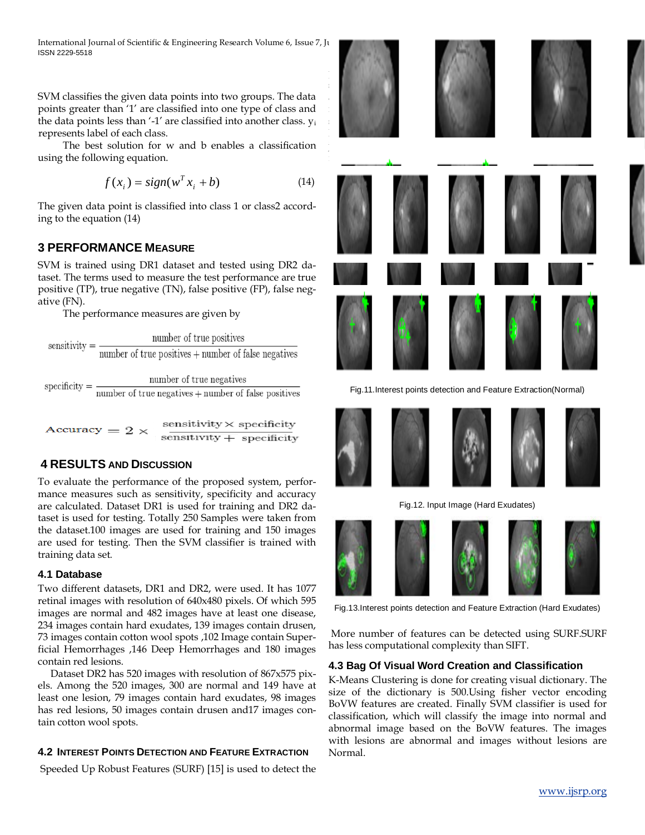International Journal of Scientific & Engineering Research Volume 6, Issue 7, July ISSN 2229-5518

SVM classifies the given data points into two groups. The data points greater than '1' are classified into one type of class and the data points less than '-1' are classified into another class. yi represents label of each class.

 The best solution for w and b enables a classification using the following equation.

$$
f(x_i) = sign(w^T x_i + b)
$$
 (14)

The given data point is classified into class 1 or class2 according to the equation (14)

# **3 PERFORMANCE MEASURE**

SVM is trained using DR1 dataset and tested using DR2 dataset. The terms used to measure the test performance are true positive (TP), true negative (TN), false positive (FP), false negative (FN).

The performance measures are given by

sensitivity = 
$$
\frac{\text{number of true positives}}{\text{number of true positives} + \text{number of false negatives}}
$$

\nspecificity =  $\frac{\text{number of true negatives}}{\text{number of true negatives} + \text{number of false positives}}$ 

 $sensitivity \times specificity$ Accuracy =  $2 \times$  $sensitivity + specificity$ 

# **4 RESULTS AND DISCUSSION**

To evaluate the performance of the proposed system, performance measures such as sensitivity, specificity and accuracy are calculated. Dataset DR1 is used for training and DR2 dataset is used for testing. Totally 250 Samples were taken from the dataset.100 images are used for training and 150 images are used for testing. Then the SVM classifier is trained with training data set.

## **4.1 Database**

Two different datasets, DR1 and DR2, were used. It has 1077 retinal images with resolution of 640x480 pixels. Of which 595 images are normal and 482 images have at least one disease, 234 images contain hard exudates, 139 images contain drusen, 73 images contain cotton wool spots ,102 Image contain Superficial Hemorrhages ,146 Deep Hemorrhages and 180 images contain red lesions.

 Dataset DR2 has 520 images with resolution of 867x575 pixels. Among the 520 images, 300 are normal and 149 have at least one lesion, 79 images contain hard exudates, 98 images has red lesions, 50 images contain drusen and17 images contain cotton wool spots.

# **4.2 INTEREST POINTS DETECTION AND FEATURE EXTRACTION**

Speeded Up Robust Features (SURF) [15] is used to detect the



Fig.11.Interest points detection and Feature Extraction(Normal)



Fig.12. Input Image (Hard Exudates)



Fig.13.Interest points detection and Feature Extraction (Hard Exudates)

More number of features can be detected using SURF.SURF has less computational complexity than SIFT.

## **4.3 Bag Of Visual Word Creation and Classification**

K-Means Clustering is done for creating visual dictionary. The size of the dictionary is 500.Using fisher vector encoding BoVW features are created. Finally SVM classifier is used for classification, which will classify the image into normal and abnormal image based on the BoVW features. The images with lesions are abnormal and images without lesions are Normal.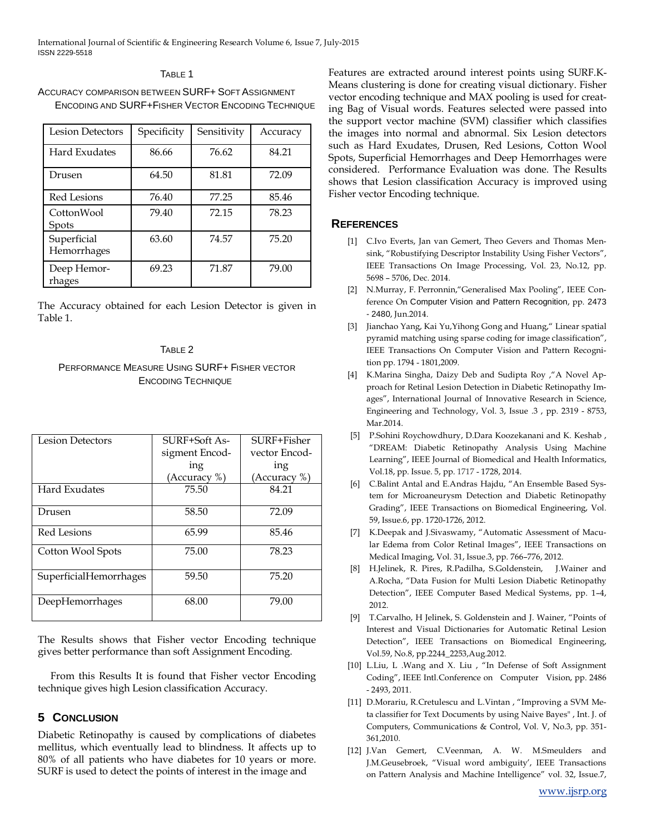International Journal of Scientific & Engineering Research Volume 6, Issue 7, July-2015 ISSN 2229-5518

#### TABLE 1

ACCURACY COMPARISON BETWEEN SURF+ SOFT ASSIGNMENT ENCODING AND SURF+FISHER VECTOR ENCODING TECHNIQUE

| <b>Lesion Detectors</b>    | Specificity | Sensitivity | Accuracy |
|----------------------------|-------------|-------------|----------|
| Hard Exudates              | 86.66       | 76.62       | 84.21    |
| Drusen                     | 64.50       | 81.81       | 72.09    |
| <b>Red Lesions</b>         | 76.40       | 77.25       | 85.46    |
| CottonWool<br>Spots        | 79.40       | 72.15       | 78.23    |
| Superficial<br>Hemorrhages | 63.60       | 74.57       | 75.20    |
| Deep Hemor-<br>rhages      | 69.23       | 71.87       | 79.00    |

The Accuracy obtained for each Lesion Detector is given in Table 1.

## TABLE 2

# PERFORMANCE MEASURE USING SURF+ FISHER VECTOR ENCODING TECHNIQUE

| Lesion Detectors       | SURF+Soft As-  | SURF+Fisher   |
|------------------------|----------------|---------------|
|                        | sigment Encod- | vector Encod- |
|                        | ing            | ing           |
|                        | (Accuracy %)   | (Accuracy %)  |
| <b>Hard Exudates</b>   | 75.50          | 84.21         |
| Drusen                 | 58.50          | 72.09         |
| <b>Red Lesions</b>     | 65.99          | 85.46         |
| Cotton Wool Spots      | 75.00          | 78.23         |
| SuperficialHemorrhages | 59.50          | 75.20         |
| DeepHemorrhages        | 68.00          | 79.00         |

The Results shows that Fisher vector Encoding technique gives better performance than soft Assignment Encoding.

 From this Results It is found that Fisher vector Encoding technique gives high Lesion classification Accuracy.

## **5 CONCLUSION**

Diabetic Retinopathy is caused by complications of diabetes mellitus, which eventually lead to blindness. It affects up to 80% of all patients who have diabetes for 10 years or more. SURF is used to detect the points of interest in the image and

Features are extracted around interest points using SURF.K-Means clustering is done for creating visual dictionary. Fisher vector encoding technique and MAX pooling is used for creating Bag of Visual words. Features selected were passed into the support vector machine (SVM) classifier which classifies the images into normal and abnormal. Six Lesion detectors such as Hard Exudates, Drusen, Red Lesions, Cotton Wool Spots, Superficial Hemorrhages and Deep Hemorrhages were considered. Performance Evaluation was done. The Results shows that Lesion classification Accuracy is improved using Fisher vector Encoding technique.

## **REFERENCES**

- [1] C.Ivo Everts, Jan van Gemert, Theo Gevers and Thomas Mensink, "Robustifying Descriptor Instability Using Fisher Vectors", IEEE Transactions On Image Processing, Vol. 23, No.12, pp. 5698 – 5706, Dec. 2014.
- [2] N.Murray, F. Perronnin,"Generalised Max Pooling", IEEE Conference On Computer Vision and Pattern Recognition, pp. 2473 - 2480, Jun.2014.
- [3] Jianchao Yang, Kai Yu,Yihong Gong and Huang," Linear spatial pyramid matching using sparse coding for image classification", IEEE Transactions On Computer Vision and Pattern Recognition pp. 1794 - 1801,2009.
- [4] K.Marina Singha, Daizy Deb and Sudipta Roy ,"A Novel Approach for Retinal Lesion Detection in Diabetic Retinopathy Images", International Journal of Innovative Research in Science, Engineering and Technology, Vol. 3, Issue .3 , pp. 2319 - 8753, Mar.2014.
- [5] P.Sohini Roychowdhury, D.Dara Koozekanani and K. Keshab , "DREAM: Diabetic Retinopathy Analysis Using Machine Learning", IEEE Journal of Biomedical and Health Informatics, Vol.18, pp. Issue. 5, pp. 1717 - 1728, 2014.
- [6] C.Balint Antal and E.Andras Hajdu, "An Ensemble Based System for Microaneurysm Detection and Diabetic Retinopathy Grading", IEEE Transactions on Biomedical Engineering, Vol. 59, Issue.6, pp. 1720-1726, 2012.
- [7] K.Deepak and J.Sivaswamy, "Automatic Assessment of Macular Edema from Color Retinal Images", IEEE Transactions on Medical Imaging, Vol. 31, Issue.3, pp. 766–776, 2012.
- [8] H.Jelinek, R. Pires, R.Padilha, S.Goldenstein, J.Wainer and A.Rocha, "Data Fusion for Multi Lesion Diabetic Retinopathy Detection", IEEE Computer Based Medical Systems, pp. 1–4, 2012.
- [9] T.Carvalho, H Jelinek, S. Goldenstein and J. Wainer, "Points of Interest and Visual Dictionaries for Automatic Retinal Lesion Detection", IEEE Transactions on Biomedical Engineering, Vol.59, No.8, pp.2244\_2253,Aug.2012.
- [10] L.Liu, L .Wang and X. Liu, "In Defense of Soft Assignment Coding", IEEE Intl.Conference on Computer Vision, pp. 2486 - 2493, 2011.
- [11] D.Morariu, R.Cretulescu and L.Vintan , "Improving a SVM Meta classifier for Text Documents by using Naive Bayes" , Int. J. of Computers, Communications & Control, Vol. V, No.3, pp. 351- 361,2010.
- [12] J.Van Gemert, C.Veenman, A. W. M.Smeulders and J.M.Geusebroek, "Visual word ambiguity', IEEE Transactions on Pattern Analysis and Machine Intelligence" vol. 32, Issue.7,